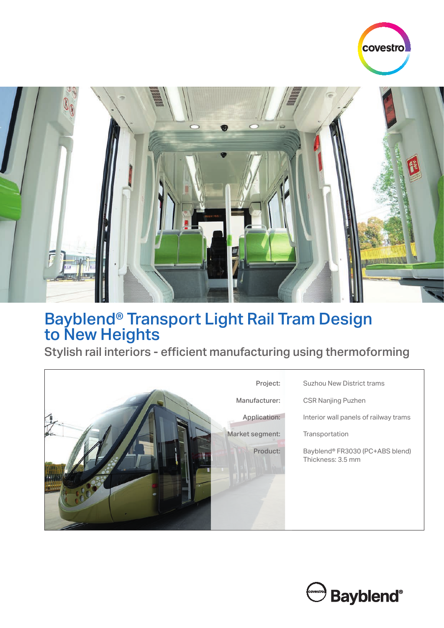



## Bayblend® Transport Light Rail Tram Design to New Heights

Stylish rail interiors - efficient manufacturing using thermoforming